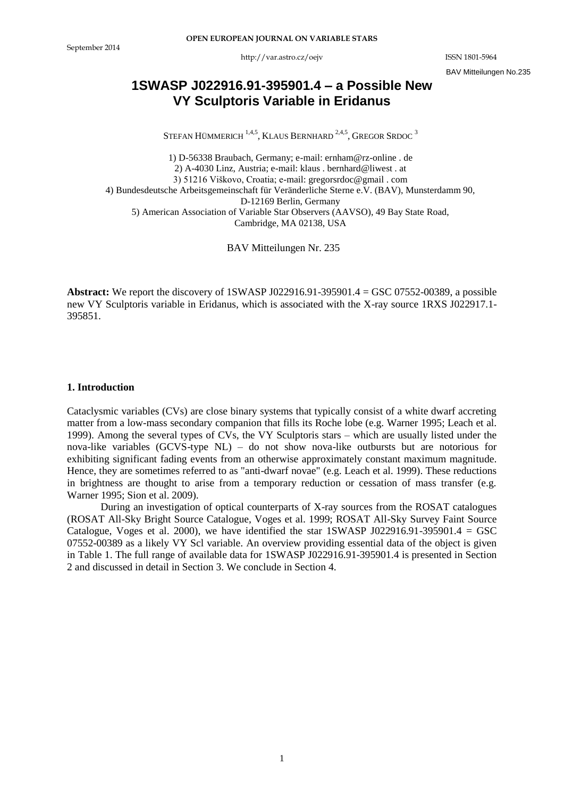http://var.astro.cz/oejv ISSN 1801-5964

BAV Mitteilungen No.235

# **1SWASP J022916.91-395901.4 – a Possible New VY Sculptoris Variable in Eridanus**

STEFAN HÜMMERICH  $^{1,4,5}$ , KLAUS BERNHARD  $^{2,4,5}$ , Gregor Srdoc  $^3$ 

1) D-56338 Braubach, Germany; e-mail: ernham@rz-online . de 2) A-4030 Linz, Austria; e-mail: klaus . bernhard@liwest . at 3) 51216 Viškovo, Croatia; e-mail: gregorsrdoc@gmail . com 4) Bundesdeutsche Arbeitsgemeinschaft für Veränderliche Sterne e.V. (BAV), Munsterdamm 90, D-12169 Berlin, Germany 5) American Association of Variable Star Observers (AAVSO), 49 Bay State Road, Cambridge, MA 02138, USA

BAV Mitteilungen Nr. 235

**Abstract:** We report the discovery of 1SWASP J022916.91-395901.4 = GSC 07552-00389, a possible new VY Sculptoris variable in Eridanus, which is associated with the X-ray source 1RXS J022917.1- 395851.

## **1. Introduction**

Cataclysmic variables (CVs) are close binary systems that typically consist of a white dwarf accreting matter from a low-mass secondary companion that fills its Roche lobe (e.g. Warner 1995; Leach et al. 1999). Among the several types of CVs, the VY Sculptoris stars – which are usually listed under the nova-like variables (GCVS-type NL) – do not show nova-like outbursts but are notorious for exhibiting significant fading events from an otherwise approximately constant maximum magnitude. Hence, they are sometimes referred to as "anti-dwarf novae" (e.g. Leach et al. 1999). These reductions in brightness are thought to arise from a temporary reduction or cessation of mass transfer (e.g. Warner 1995; Sion et al. 2009).

During an investigation of optical counterparts of X-ray sources from the ROSAT catalogues (ROSAT All-Sky Bright Source Catalogue, Voges et al. 1999; ROSAT All-Sky Survey Faint Source Catalogue, Voges et al. 2000), we have identified the star 1SWASP J022916.91-395901.4 = GSC 07552-00389 as a likely VY Scl variable. An overview providing essential data of the object is given in Table 1. The full range of available data for 1SWASP J022916.91-395901.4 is presented in Section 2 and discussed in detail in Section 3. We conclude in Section 4.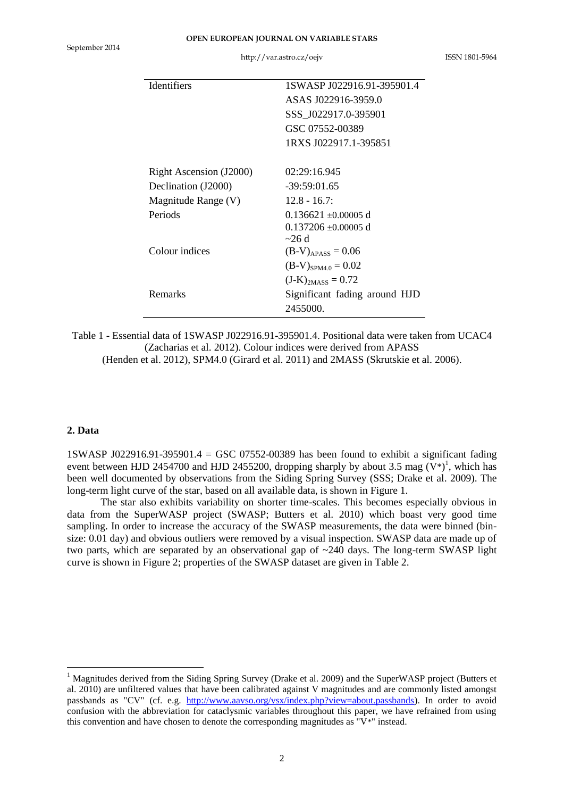| <b>Identifiers</b>      | 1SWASP J022916.91-395901.4    |
|-------------------------|-------------------------------|
|                         | ASAS J022916-3959.0           |
|                         | SSS J022917.0-395901          |
|                         | GSC 07552-00389               |
|                         | 1RXS J022917.1-395851         |
|                         |                               |
| Right Ascension (J2000) | 02:29:16.945                  |
| Declination (J2000)     | $-39:59:01.65$                |
| Magnitude Range (V)     | $12.8 - 16.7$                 |
| Periods                 | $0.136621 + 0.00005$ d        |
|                         | $0.137206 \pm 0.00005$ d      |
|                         | $\sim$ 26 d                   |
| Colour indices          | $(B-V)_{APASS} = 0.06$        |
|                         | $(B-V)_{SPM4.0} = 0.02$       |
|                         | $(J-K)_{2MASS} = 0.72$        |
| Remarks                 | Significant fading around HJD |
|                         | 2455000.                      |

Table 1 - Essential data of 1SWASP J022916.91-395901.4. Positional data were taken from UCAC4 (Zacharias et al. 2012). Colour indices were derived from APASS

(Henden et al. 2012), SPM4.0 (Girard et al. 2011) and 2MASS (Skrutskie et al. 2006).

### **2. Data**

1

1SWASP J022916.91-395901.4 = GSC 07552-00389 has been found to exhibit a significant fading event between HJD 2454700 and HJD 2455200, dropping sharply by about 3.5 mag  $(V^*)^1$ , which has been well documented by observations from the Siding Spring Survey (SSS; Drake et al. 2009). The long-term light curve of the star, based on all available data, is shown in Figure 1.

The star also exhibits variability on shorter time-scales. This becomes especially obvious in data from the SuperWASP project (SWASP; Butters et al. 2010) which boast very good time sampling. In order to increase the accuracy of the SWASP measurements, the data were binned (binsize: 0.01 day) and obvious outliers were removed by a visual inspection. SWASP data are made up of two parts, which are separated by an observational gap of ~240 days. The long-term SWASP light curve is shown in Figure 2; properties of the SWASP dataset are given in Table 2.

<sup>&</sup>lt;sup>1</sup> Magnitudes derived from the Siding Spring Survey (Drake et al. 2009) and the SuperWASP project (Butters et al. 2010) are unfiltered values that have been calibrated against V magnitudes and are commonly listed amongst passbands as "CV" (cf. e.g. [http://www.aavso.org/vsx/index.php?view=about.passbands\)](http://www.aavso.org/vsx/index.php?view=about.passbands). In order to avoid confusion with the abbreviation for cataclysmic variables throughout this paper, we have refrained from using this convention and have chosen to denote the corresponding magnitudes as "V\*" instead.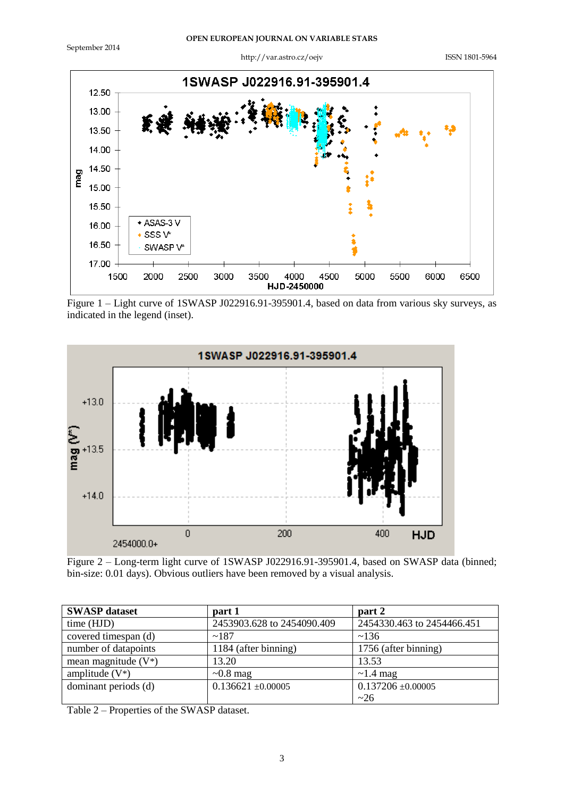September 2014

http://var.astro.cz/oejv ISSN 1801-5964



Figure 1 – Light curve of 1SWASP J022916.91-395901.4, based on data from various sky surveys, as indicated in the legend (inset).



Figure 2 – Long-term light curve of 1SWASP J022916.91-395901.4, based on SWASP data (binned; bin-size: 0.01 days). Obvious outliers have been removed by a visual analysis.

| <b>SWASP</b> dataset   | part 1                     | part 2                     |
|------------------------|----------------------------|----------------------------|
| time (HJD)             | 2453903.628 to 2454090.409 | 2454330.463 to 2454466.451 |
| covered timespan (d)   | ~187                       | ~136                       |
| number of datapoints   | 1184 (after binning)       | 1756 (after binning)       |
| mean magnitude $(V^*)$ | 13.20                      | 13.53                      |
| amplitude $(V^*)$      | $\sim 0.8$ mag             | $\sim$ 1.4 mag             |
| dominant periods (d)   | $0.136621 + 0.00005$       | $0.137206 \pm 0.00005$     |
|                        |                            | ~26                        |

Table 2 – Properties of the SWASP dataset.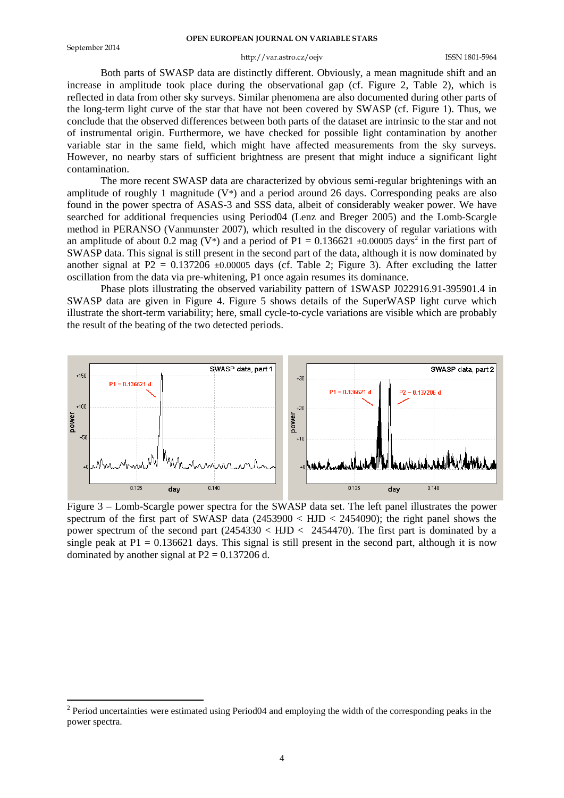1

#### **OPEN EUROPEAN JOURNAL ON VARIABLE STARS**

#### http://var.astro.cz/oejv ISSN 1801-5964

Both parts of SWASP data are distinctly different. Obviously, a mean magnitude shift and an increase in amplitude took place during the observational gap (cf. Figure 2, Table 2), which is reflected in data from other sky surveys. Similar phenomena are also documented during other parts of the long-term light curve of the star that have not been covered by SWASP (cf. Figure 1). Thus, we conclude that the observed differences between both parts of the dataset are intrinsic to the star and not of instrumental origin. Furthermore, we have checked for possible light contamination by another variable star in the same field, which might have affected measurements from the sky surveys. However, no nearby stars of sufficient brightness are present that might induce a significant light contamination.

The more recent SWASP data are characterized by obvious semi-regular brightenings with an amplitude of roughly 1 magnitude  $(V^*)$  and a period around 26 days. Corresponding peaks are also found in the power spectra of ASAS-3 and SSS data, albeit of considerably weaker power. We have searched for additional frequencies using Period04 (Lenz and Breger 2005) and the Lomb-Scargle method in PERANSO (Vanmunster 2007), which resulted in the discovery of regular variations with an amplitude of about 0.2 mag (V<sup>\*</sup>) and a period of P1 = 0.136621  $\pm$ 0.00005 days<sup>2</sup> in the first part of SWASP data. This signal is still present in the second part of the data, although it is now dominated by another signal at  $P2 = 0.137206 \pm 0.00005$  days (cf. Table 2; Figure 3). After excluding the latter oscillation from the data via pre-whitening, P1 once again resumes its dominance.

Phase plots illustrating the observed variability pattern of 1SWASP J022916.91-395901.4 in SWASP data are given in Figure 4. Figure 5 shows details of the SuperWASP light curve which illustrate the short-term variability; here, small cycle-to-cycle variations are visible which are probably the result of the beating of the two detected periods.



Figure 3 – Lomb-Scargle power spectra for the SWASP data set. The left panel illustrates the power spectrum of the first part of SWASP data  $(2453900 \times HJD \times 2454090)$ ; the right panel shows the power spectrum of the second part  $(2454330 < HJD < 2454470)$ . The first part is dominated by a single peak at  $P1 = 0.136621$  days. This signal is still present in the second part, although it is now dominated by another signal at  $P2 = 0.137206$  d.

 $2$  Period uncertainties were estimated using Period04 and employing the width of the corresponding peaks in the power spectra.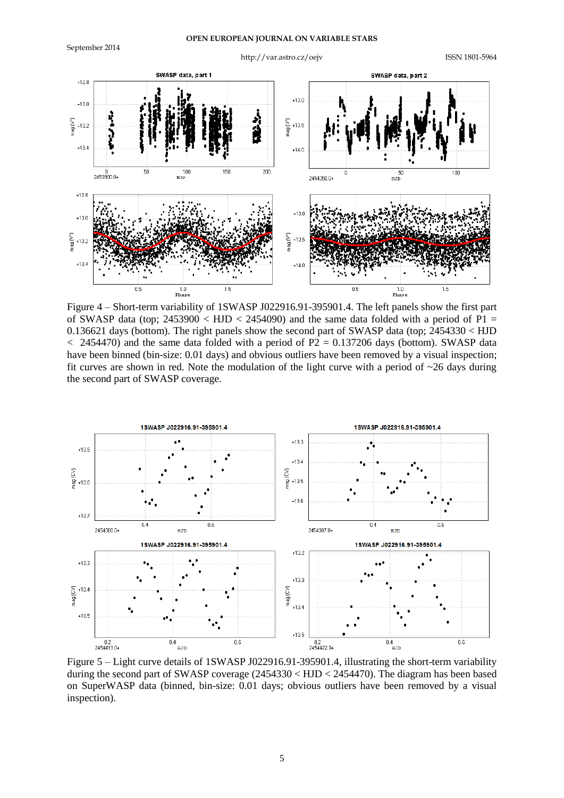

Figure 4 – Short-term variability of 1SWASP J022916.91-395901.4. The left panels show the first part of SWASP data (top;  $2453900 < HJD < 2454090$ ) and the same data folded with a period of P1 = 0.136621 days (bottom). The right panels show the second part of SWASP data (top; 2454330 < HJD  $<$  2454470) and the same data folded with a period of P2 = 0.137206 days (bottom). SWASP data have been binned (bin-size: 0.01 days) and obvious outliers have been removed by a visual inspection; fit curves are shown in red. Note the modulation of the light curve with a period of  $\sim$ 26 days during the second part of SWASP coverage.



Figure 5 – Light curve details of 1SWASP J022916.91-395901.4, illustrating the short-term variability during the second part of SWASP coverage (2454330 < HJD < 2454470). The diagram has been based on SuperWASP data (binned, bin-size: 0.01 days; obvious outliers have been removed by a visual inspection).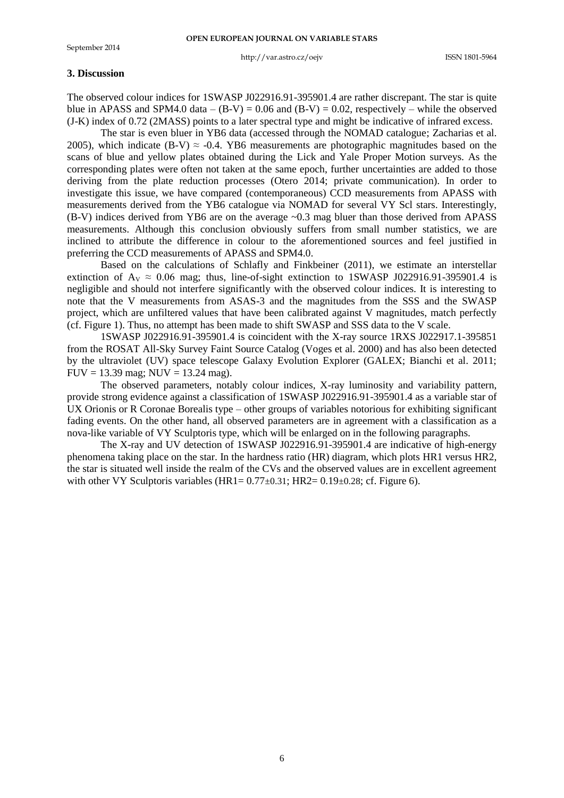#### http://var.astro.cz/oejv ISSN 1801-5964

## **3. Discussion**

The observed colour indices for 1SWASP J022916.91-395901.4 are rather discrepant. The star is quite blue in APASS and SPM4.0 data –  $(B-V) = 0.06$  and  $(B-V) = 0.02$ , respectively – while the observed (J-K) index of 0.72 (2MASS) points to a later spectral type and might be indicative of infrared excess.

The star is even bluer in YB6 data (accessed through the NOMAD catalogue; Zacharias et al. 2005), which indicate (B-V)  $\approx$  -0.4. YB6 measurements are photographic magnitudes based on the scans of blue and yellow plates obtained during the Lick and Yale Proper Motion surveys. As the corresponding plates were often not taken at the same epoch, further uncertainties are added to those deriving from the plate reduction processes (Otero 2014; private communication). In order to investigate this issue, we have compared (contemporaneous) CCD measurements from APASS with measurements derived from the YB6 catalogue via NOMAD for several VY Scl stars. Interestingly, (B-V) indices derived from YB6 are on the average ~0.3 mag bluer than those derived from APASS measurements. Although this conclusion obviously suffers from small number statistics, we are inclined to attribute the difference in colour to the aforementioned sources and feel justified in preferring the CCD measurements of APASS and SPM4.0.

Based on the calculations of Schlafly and Finkbeiner (2011), we estimate an interstellar extinction of  $A_V \approx 0.06$  mag; thus, line-of-sight extinction to 1SWASP J022916.91-395901.4 is negligible and should not interfere significantly with the observed colour indices. It is interesting to note that the V measurements from ASAS-3 and the magnitudes from the SSS and the SWASP project, which are unfiltered values that have been calibrated against V magnitudes, match perfectly (cf. Figure 1). Thus, no attempt has been made to shift SWASP and SSS data to the V scale.

1SWASP J022916.91-395901.4 is coincident with the X-ray source 1RXS J022917.1-395851 from the ROSAT All-Sky Survey Faint Source Catalog (Voges et al. 2000) and has also been detected by the ultraviolet (UV) space telescope Galaxy Evolution Explorer (GALEX; Bianchi et al. 2011; FUV = 13.39 mag; NUV = 13.24 mag).

The observed parameters, notably colour indices, X-ray luminosity and variability pattern, provide strong evidence against a classification of 1SWASP J022916.91-395901.4 as a variable star of UX Orionis or R Coronae Borealis type – other groups of variables notorious for exhibiting significant fading events. On the other hand, all observed parameters are in agreement with a classification as a nova-like variable of VY Sculptoris type, which will be enlarged on in the following paragraphs.

The X-ray and UV detection of 1SWASP J022916.91-395901.4 are indicative of high-energy phenomena taking place on the star. In the hardness ratio (HR) diagram, which plots HR1 versus HR2, the star is situated well inside the realm of the CVs and the observed values are in excellent agreement with other VY Sculptoris variables  $(HR1 = 0.77 \pm 0.31$ ;  $HR2 = 0.19 \pm 0.28$ ; cf. Figure 6).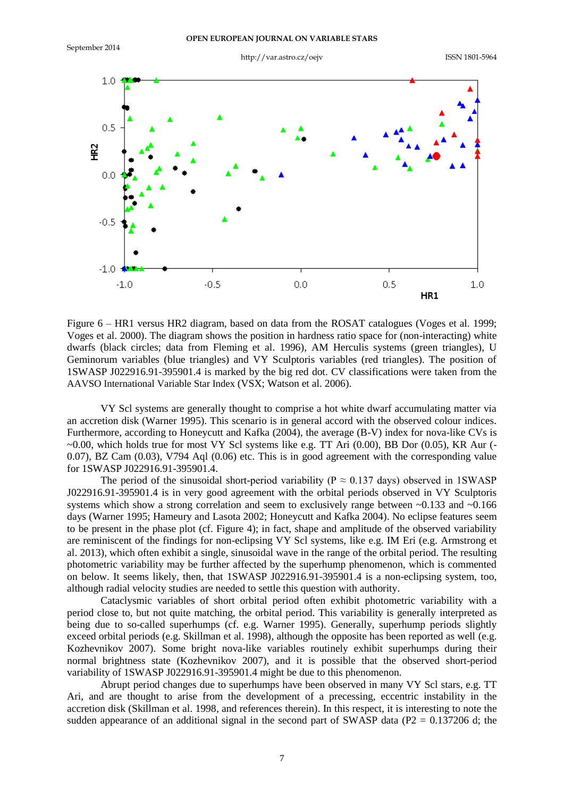September 2014

http://var.astro.cz/oejv ISSN 1801-5964



Figure 6 – HR1 versus HR2 diagram, based on data from the ROSAT catalogues (Voges et al. 1999; Voges et al. 2000). The diagram shows the position in hardness ratio space for (non-interacting) white dwarfs (black circles; data from Fleming et al. 1996), AM Herculis systems (green triangles), U Geminorum variables (blue triangles) and VY Sculptoris variables (red triangles). The position of 1SWASP J022916.91-395901.4 is marked by the big red dot. CV classifications were taken from the AAVSO International Variable Star Index (VSX; Watson et al. 2006).

VY Scl systems are generally thought to comprise a hot white dwarf accumulating matter via an accretion disk (Warner 1995). This scenario is in general accord with the observed colour indices. Furthermore, according to Honeycutt and Kafka (2004), the average (B-V) index for nova-like CVs is  $\sim$ 0.00, which holds true for most VY Scl systems like e.g. TT Ari (0.00), BB Dor (0.05), KR Aur (-0.07), BZ Cam (0.03), V794 Aql (0.06) etc. This is in good agreement with the corresponding value for 1SWASP J022916.91-395901.4.

The period of the sinusoidal short-period variability ( $P \approx 0.137$  days) observed in 1SWASP J022916.91-395901.4 is in very good agreement with the orbital periods observed in VY Sculptoris systems which show a strong correlation and seem to exclusively range between  $\sim 0.133$  and  $\sim 0.166$ days (Warner 1995; Hameury and Lasota 2002; Honeycutt and Kafka 2004). No eclipse features seem to be present in the phase plot (cf. Figure 4); in fact, shape and amplitude of the observed variability are reminiscent of the findings for non-eclipsing VY Scl systems, like e.g. IM Eri (e.g. Armstrong et al. 2013), which often exhibit a single, sinusoidal wave in the range of the orbital period. The resulting photometric variability may be further affected by the superhump phenomenon, which is commented on below. It seems likely, then, that 1SWASP J022916.91-395901.4 is a non-eclipsing system, too, although radial velocity studies are needed to settle this question with authority.

Cataclysmic variables of short orbital period often exhibit photometric variability with a period close to, but not quite matching, the orbital period. This variability is generally interpreted as being due to so-called superhumps (cf. e.g. Warner 1995). Generally, superhump periods slightly exceed orbital periods (e.g. Skillman et al. 1998), although the opposite has been reported as well (e.g. Kozhevnikov 2007). Some bright nova-like variables routinely exhibit superhumps during their normal brightness state (Kozhevnikov 2007), and it is possible that the observed short-period variability of 1SWASP J022916.91-395901.4 might be due to this phenomenon.

Abrupt period changes due to superhumps have been observed in many VY Scl stars, e.g. TT Ari, and are thought to arise from the development of a precessing, eccentric instability in the accretion disk (Skillman et al. 1998, and references therein). In this respect, it is interesting to note the sudden appearance of an additional signal in the second part of SWASP data ( $P2 = 0.137206$  d; the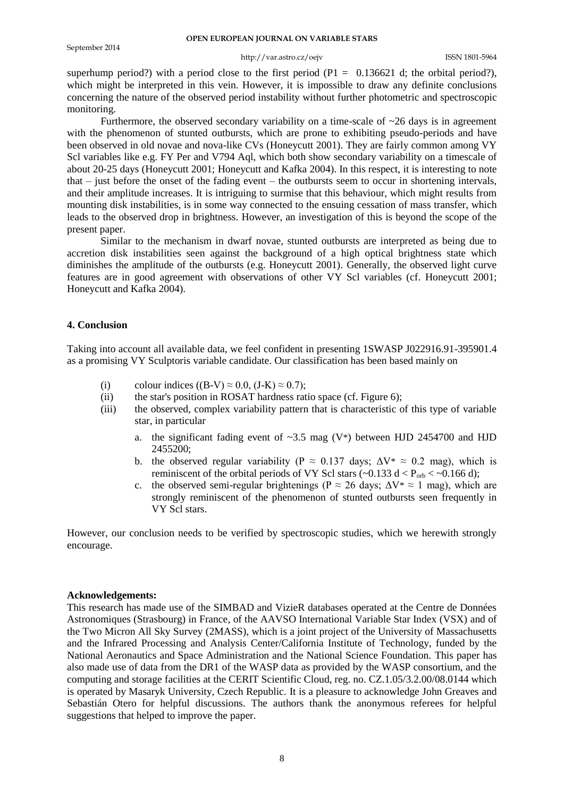#### **OPEN EUROPEAN JOURNAL ON VARIABLE STARS**

## http://var.astro.cz/oejv ISSN 1801-5964

superhump period?) with a period close to the first period ( $P1 = 0.136621$  d; the orbital period?), which might be interpreted in this vein. However, it is impossible to draw any definite conclusions concerning the nature of the observed period instability without further photometric and spectroscopic monitoring.

Furthermore, the observed secondary variability on a time-scale of  $\sim$ 26 days is in agreement with the phenomenon of stunted outbursts, which are prone to exhibiting pseudo-periods and have been observed in old novae and nova-like CVs (Honeycutt 2001). They are fairly common among VY Scl variables like e.g. FY Per and V794 Aql, which both show secondary variability on a timescale of about 20-25 days (Honeycutt 2001; Honeycutt and Kafka 2004). In this respect, it is interesting to note that – just before the onset of the fading event – the outbursts seem to occur in shortening intervals, and their amplitude increases. It is intriguing to surmise that this behaviour, which might results from mounting disk instabilities, is in some way connected to the ensuing cessation of mass transfer, which leads to the observed drop in brightness. However, an investigation of this is beyond the scope of the present paper.

Similar to the mechanism in dwarf novae, stunted outbursts are interpreted as being due to accretion disk instabilities seen against the background of a high optical brightness state which diminishes the amplitude of the outbursts (e.g. Honeycutt 2001). Generally, the observed light curve features are in good agreement with observations of other VY Scl variables (cf. Honeycutt 2001; Honeycutt and Kafka 2004).

## **4. Conclusion**

Taking into account all available data, we feel confident in presenting 1SWASP J022916.91-395901.4 as a promising VY Sculptoris variable candidate. Our classification has been based mainly on

- (i) colour indices  $((B-V) \approx 0.0, (J-K) \approx 0.7)$ ;
- (ii) the star's position in ROSAT hardness ratio space (cf. Figure 6);
- (iii) the observed, complex variability pattern that is characteristic of this type of variable star, in particular
	- a. the significant fading event of  $\sim$ 3.5 mag (V\*) between HJD 2454700 and HJD 2455200;
	- b. the observed regular variability ( $P \approx 0.137$  days;  $\Delta V^* \approx 0.2$  mag), which is reminiscent of the orbital periods of VY Scl stars ( $\sim$ 0.133 d < P<sub>orb</sub> <  $\sim$ 0.166 d);
	- c. the observed semi-regular brightenings ( $P \approx 26$  days;  $\Delta V^* \approx 1$  mag), which are strongly reminiscent of the phenomenon of stunted outbursts seen frequently in VY Scl stars.

However, our conclusion needs to be verified by spectroscopic studies, which we herewith strongly encourage.

#### **Acknowledgements:**

This research has made use of the SIMBAD and VizieR databases operated at the Centre de Données Astronomiques (Strasbourg) in France, of the AAVSO International Variable Star Index (VSX) and of the Two Micron All Sky Survey (2MASS), which is a joint project of the University of Massachusetts and the Infrared Processing and Analysis Center/California Institute of Technology, funded by the National Aeronautics and Space Administration and the National Science Foundation. This paper has also made use of data from the DR1 of the WASP data as provided by the WASP consortium, and the computing and storage facilities at the CERIT Scientific Cloud, reg. no. CZ.1.05/3.2.00/08.0144 which is operated by Masaryk University, Czech Republic. It is a pleasure to acknowledge John Greaves and Sebastián Otero for helpful discussions. The authors thank the anonymous referees for helpful suggestions that helped to improve the paper.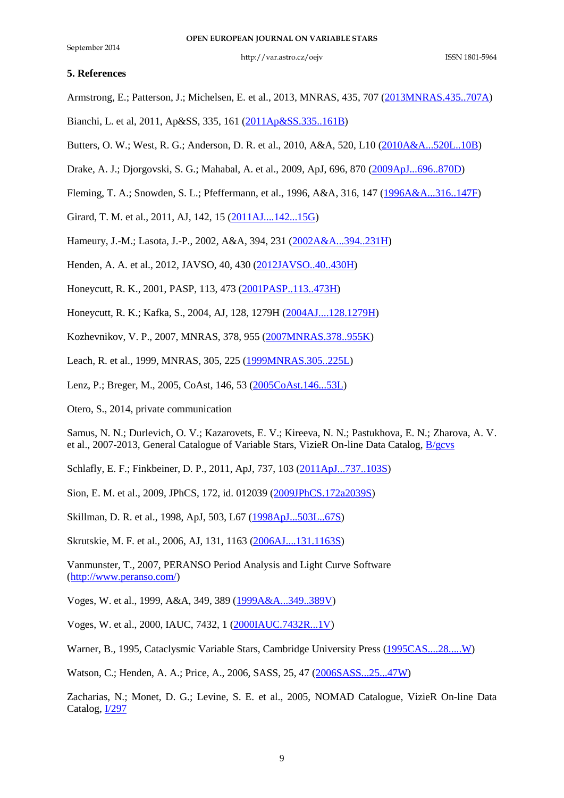## **5. References**

Armstrong, E.; Patterson, J.; Michelsen, E. et al., 2013, MNRAS, 435, 707 [\(2013MNRAS.435..707A\)](http://adsabs.harvard.edu/abs/2013MNRAS.435..707A)

- Bianchi, L. et al, 2011, Ap&SS, 335, 161 [\(2011Ap&SS.335..161B\)](http://adsabs.harvard.edu/abs/2011Ap&SS.335..161B)
- Butters, O. W.; West, R. G.; Anderson, D. R. et al., 2010, A&A, 520, L10 [\(2010A&A...520L..10B\)](http://adsabs.harvard.edu/abs/2010A&A...520L..10B)
- Drake, A. J.; Djorgovski, S. G.; Mahabal, A. et al., 2009, ApJ, 696, 870 [\(2009ApJ...696..870D\)](http://adsabs.harvard.edu/abs/2009ApJ...696..870D)
- Fleming, T. A.; Snowden, S. L.; Pfeffermann, et al., 1996, A&A, 316, 147 [\(1996A&A...316..147F\)](http://adsabs.harvard.edu/abs/1996A%26A...316..147F)
- Girard, T. M. et al., 2011, AJ, 142, 15 [\(2011AJ....142...15G\)](http://adsabs.harvard.edu/abs/2011AJ....142...15G)
- Hameury, J.-M.; Lasota, J.-P., 2002, A&A, 394, 231 [\(2002A&A...394..231H\)](http://adsabs.harvard.edu/abs/2002A&A...394..231H)

Henden, A. A. et al., 2012, JAVSO, 40, 430 [\(2012JAVSO..40..430H\)](http://adsabs.harvard.edu/abs/2012JAVSO..40..430H)

- Honeycutt, R. K., 2001, PASP, 113, 473 [\(2001PASP..113..473H\)](http://adsabs.harvard.edu/abs/2001PASP..113..473H)
- Honeycutt, R. K.; Kafka, S., 2004, AJ, 128, 1279H [\(2004AJ....128.1279H\)](http://adsabs.harvard.edu/abs/2004AJ....128.1279H)

Kozhevnikov, V. P., 2007, MNRAS, 378, 955 [\(2007MNRAS.378..955K\)](http://adsabs.harvard.edu/abs/2007MNRAS.378..955K)

Leach, R. et al., 1999, MNRAS, 305, 225 [\(1999MNRAS.305..225L\)](http://adsabs.harvard.edu/abs/1999MNRAS.305..225L)

Lenz, P.; Breger, M., 2005, CoAst, 146, 53 [\(2005CoAst.146...53L\)](http://adsabs.harvard.edu/abs/2005CoAst.146...53L)

Otero, S., 2014, private communication

Samus, N. N.; Durlevich, O. V.; Kazarovets, E. V.; Kireeva, N. N.; Pastukhova, E. N.; Zharova, A. V. et al., 2007-2013, General Catalogue of Variable Stars, VizieR On-line Data Catalog, [B/gcvs](http://cdsarc.u-strasbg.fr/viz-bin/Cat?B/gcvs)

Schlafly, E. F.; Finkbeiner, D. P., 2011, ApJ, 737, 103 [\(2011ApJ...737..103S\)](http://adsabs.harvard.edu/abs/2011ApJ...737..103S)

Sion, E. M. et al., 2009, JPhCS, 172, id. 012039 [\(2009JPhCS.172a2039S\)](http://adsabs.harvard.edu/abs/2009JPhCS.172a2039S)

Skillman, D. R. et al., 1998, ApJ, 503, L67 [\(1998ApJ...503L..67S\)](http://adsabs.harvard.edu/abs/1998ApJ...503L..67S)

Skrutskie, M. F. et al., 2006, AJ, 131, 1163 [\(2006AJ....131.1163S\)](http://adsabs.harvard.edu/abs/2006AJ....131.1163S)

Vanmunster, T., 2007, PERANSO Period Analysis and Light Curve Software [\(http://www.peranso.com/\)](http://www.peranso.com/)

Voges, W. et al., 1999, A&A, 349, 389 [\(1999A&A...349..389V\)](http://adsabs.harvard.edu/abs/1999A&A...349..389V)

Voges, W. et al., 2000, IAUC, 7432, 1 [\(2000IAUC.7432R...1V\)](http://adsabs.harvard.edu/abs/2000IAUC.7432R...1V)

Warner, B., 1995, Cataclysmic Variable Stars, Cambridge University Press [\(1995CAS....28.....W\)](http://adsabs.harvard.edu/abs/1995CAS....28.....W)

Watson, C.; Henden, A. A.; Price, A., 2006, SASS, 25, 47 [\(2006SASS...25...47W\)](http://adsabs.harvard.edu/abs/2006SASS...25...47W)

Zacharias, N.; Monet, D. G.; Levine, S. E. et al., 2005, NOMAD Catalogue, VizieR On-line Data Catalog, [I/297](http://cdsarc.u-strasbg.fr/viz-bin/Cat?I/297)